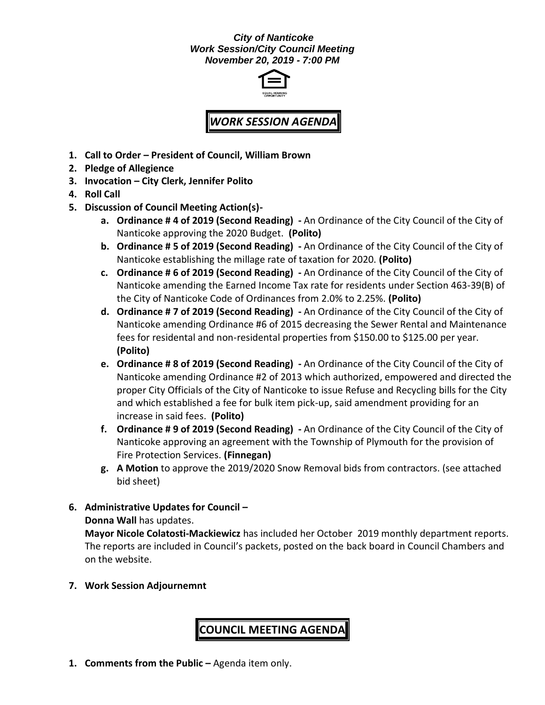#### *City of Nanticoke Work Session/City Council Meeting November 20, 2019 - 7:00 PM*



## *WORK SESSION AGENDA*

- **1. Call to Order – President of Council, William Brown**
- **2. Pledge of Allegience**
- **3. Invocation – City Clerk, Jennifer Polito**
- **4. Roll Call**
- **5. Discussion of Council Meeting Action(s)**
	- **a. Ordinance # 4 of 2019 (Second Reading) -** An Ordinance of the City Council of the City of Nanticoke approving the 2020 Budget. **(Polito)**
	- **b. Ordinance # 5 of 2019 (Second Reading) -** An Ordinance of the City Council of the City of Nanticoke establishing the millage rate of taxation for 2020. **(Polito)**
	- **c. Ordinance # 6 of 2019 (Second Reading) -** An Ordinance of the City Council of the City of Nanticoke amending the Earned Income Tax rate for residents under Section 463-39(B) of the City of Nanticoke Code of Ordinances from 2.0% to 2.25%. **(Polito)**
	- **d. Ordinance # 7 of 2019 (Second Reading) -** An Ordinance of the City Council of the City of Nanticoke amending Ordinance #6 of 2015 decreasing the Sewer Rental and Maintenance fees for residental and non-residental properties from \$150.00 to \$125.00 per year. **(Polito)**
	- **e. Ordinance # 8 of 2019 (Second Reading) -** An Ordinance of the City Council of the City of Nanticoke amending Ordinance #2 of 2013 which authorized, empowered and directed the proper City Officials of the City of Nanticoke to issue Refuse and Recycling bills for the City and which established a fee for bulk item pick-up, said amendment providing for an increase in said fees. **(Polito)**
	- **f. Ordinance # 9 of 2019 (Second Reading) -** An Ordinance of the City Council of the City of Nanticoke approving an agreement with the Township of Plymouth for the provision of Fire Protection Services. **(Finnegan)**
	- **g. A Motion** to approve the 2019/2020 Snow Removal bids from contractors. (see attached bid sheet)

### **6. Administrative Updates for Council –**

**Donna Wall** has updates.

**Mayor Nicole Colatosti-Mackiewicz** has included her October 2019 monthly department reports. The reports are included in Council's packets, posted on the back board in Council Chambers and on the website.

**7. Work Session Adjournemnt**

## **COUNCIL MEETING AGENDA**

**1. Comments from the Public –** Agenda item only.